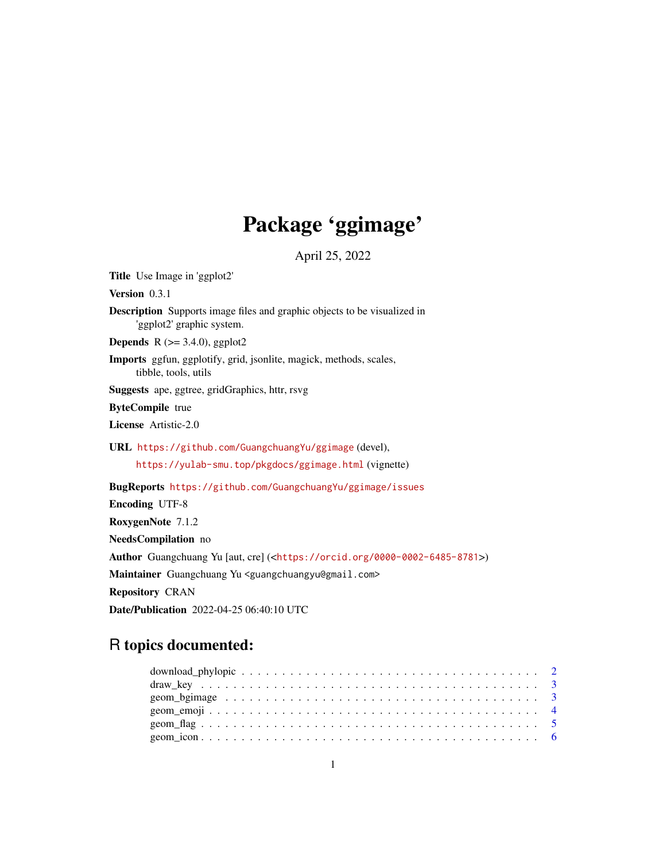# Package 'ggimage'

April 25, 2022

Title Use Image in 'ggplot2' Version 0.3.1 Description Supports image files and graphic objects to be visualized in 'ggplot2' graphic system. **Depends** R  $(>= 3.4.0)$ , ggplot2 Imports ggfun, ggplotify, grid, jsonlite, magick, methods, scales, tibble, tools, utils Suggests ape, ggtree, gridGraphics, httr, rsvg ByteCompile true License Artistic-2.0 URL <https://github.com/GuangchuangYu/ggimage> (devel), <https://yulab-smu.top/pkgdocs/ggimage.html> (vignette) BugReports <https://github.com/GuangchuangYu/ggimage/issues> Encoding UTF-8 RoxygenNote 7.1.2 NeedsCompilation no Author Guangchuang Yu [aut, cre] (<<https://orcid.org/0000-0002-6485-8781>>) Maintainer Guangchuang Yu <guangchuangyu@gmail.com> Repository CRAN Date/Publication 2022-04-25 06:40:10 UTC

# R topics documented: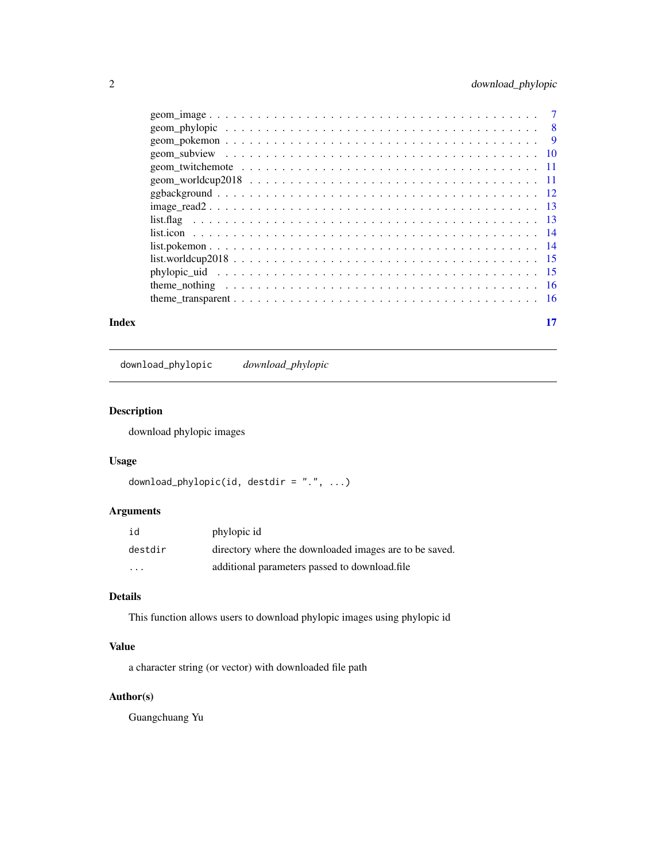<span id="page-1-0"></span>

|       | $list. worldcup 2018$ 15 |  |
|-------|--------------------------|--|
|       |                          |  |
|       |                          |  |
|       |                          |  |
| Index |                          |  |

download\_phylopic *download\_phylopic*

#### Description

download phylopic images

# Usage

```
download_phylopic(id, destdir = ".", ...)
```
#### Arguments

| id      | phylopic id                                            |
|---------|--------------------------------------------------------|
| destdir | directory where the downloaded images are to be saved. |
| .       | additional parameters passed to download.file          |

# Details

This function allows users to download phylopic images using phylopic id

# Value

a character string (or vector) with downloaded file path

# Author(s)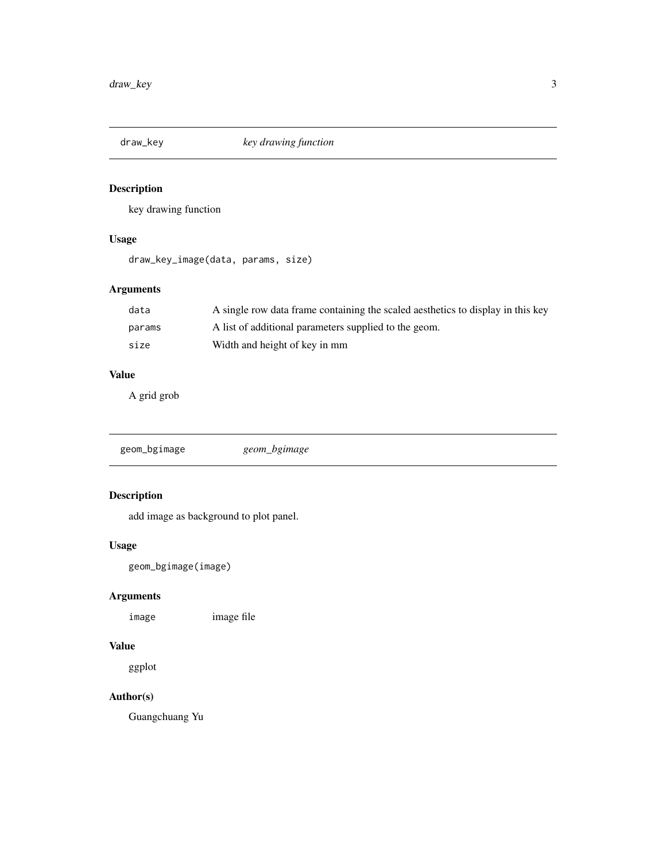<span id="page-2-0"></span>

# Description

key drawing function

#### Usage

draw\_key\_image(data, params, size)

# Arguments

| data   | A single row data frame containing the scaled aesthetics to display in this key |
|--------|---------------------------------------------------------------------------------|
| params | A list of additional parameters supplied to the geom.                           |
| size   | Width and height of key in mm                                                   |

### Value

A grid grob

geom\_bgimage *geom\_bgimage*

#### Description

add image as background to plot panel.

#### Usage

geom\_bgimage(image)

# Arguments

image image file

# Value

ggplot

# Author(s)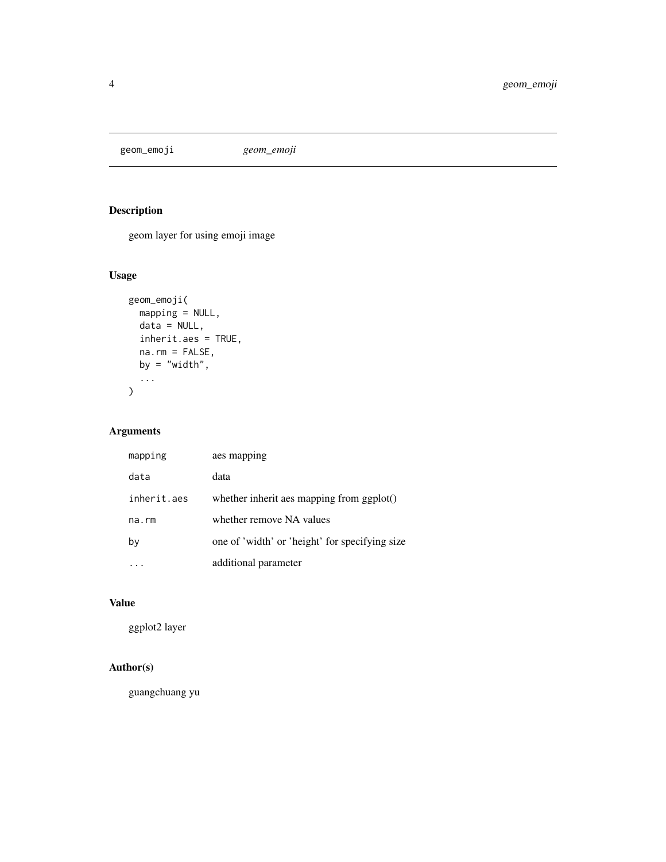<span id="page-3-0"></span>geom\_emoji *geom\_emoji*

# Description

geom layer for using emoji image

# Usage

```
geom_emoji(
 mapping = NULL,
 data = NULL,inherit.aes = TRUE,
 na.rm = FALSE,
 by = "width",
  ...
)
```
# Arguments

| mapping     | aes mapping                                    |
|-------------|------------------------------------------------|
| data        | data                                           |
| inherit.aes | whether inherit aes mapping from ggplot()      |
| na.rm       | whether remove NA values                       |
| by          | one of 'width' or 'height' for specifying size |
|             | additional parameter                           |

# Value

ggplot2 layer

# Author(s)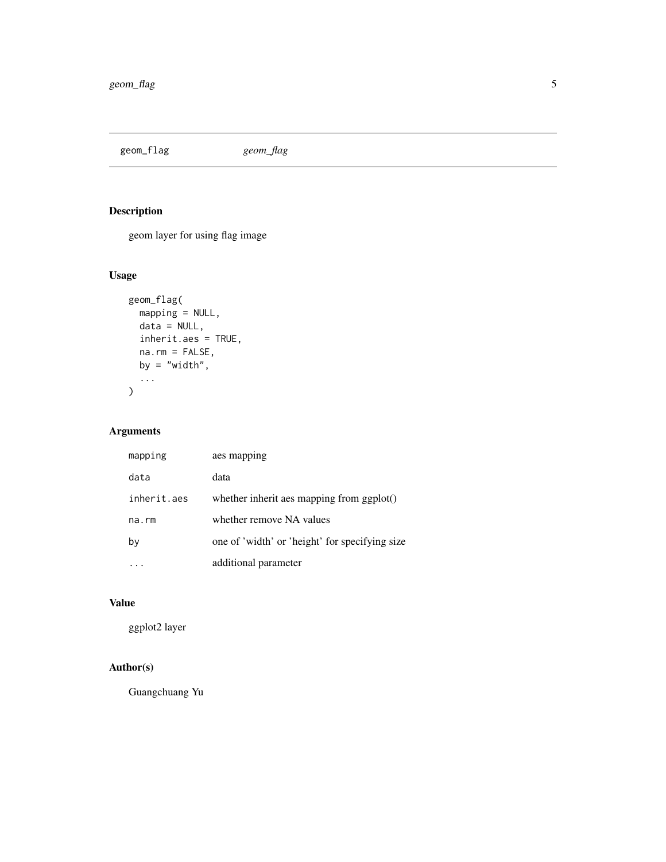<span id="page-4-0"></span>geom\_flag *geom\_flag*

# Description

geom layer for using flag image

# Usage

```
geom_flag(
 mapping = NULL,
 data = NULL,inherit.aes = TRUE,
 na.rm = FALSE,
 by = "width",...
)
```
# Arguments

| mapping     | aes mapping                                    |
|-------------|------------------------------------------------|
| data        | data                                           |
| inherit.aes | whether inherit aes mapping from ggplot()      |
| na.rm       | whether remove NA values                       |
| bγ          | one of 'width' or 'height' for specifying size |
|             | additional parameter                           |

# Value

ggplot2 layer

# Author(s)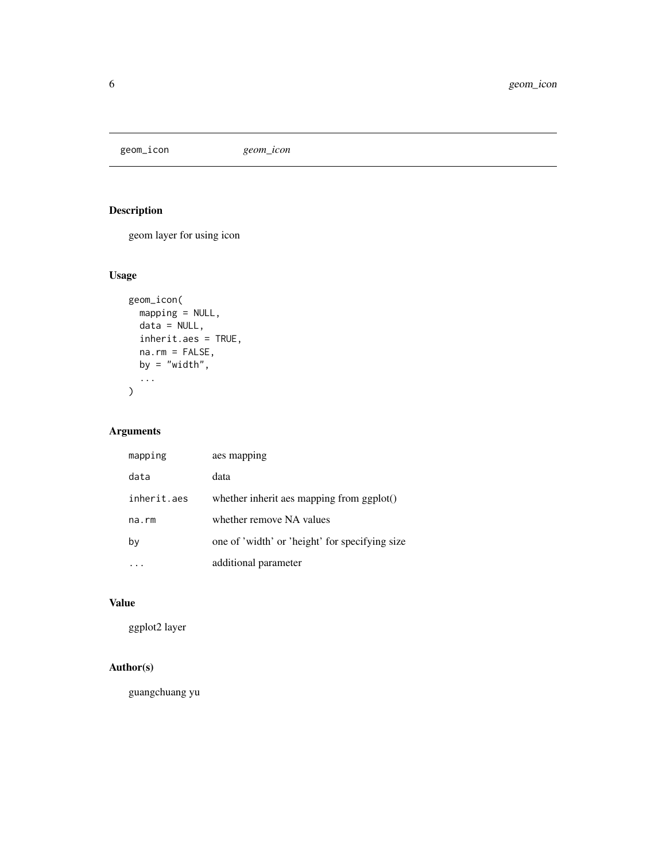<span id="page-5-0"></span>geom\_icon *geom\_icon*

# Description

geom layer for using icon

# Usage

```
geom_icon(
 mapping = NULL,
 data = NULL,inherit.aes = TRUE,
 na.rm = FALSE,
 by = "width",...
)
```
# Arguments

| mapping     | aes mapping                                    |
|-------------|------------------------------------------------|
| data        | data                                           |
| inherit.aes | whether inherit aes mapping from ggplot()      |
| na.rm       | whether remove NA values                       |
| by          | one of 'width' or 'height' for specifying size |
|             | additional parameter                           |

# Value

ggplot2 layer

# Author(s)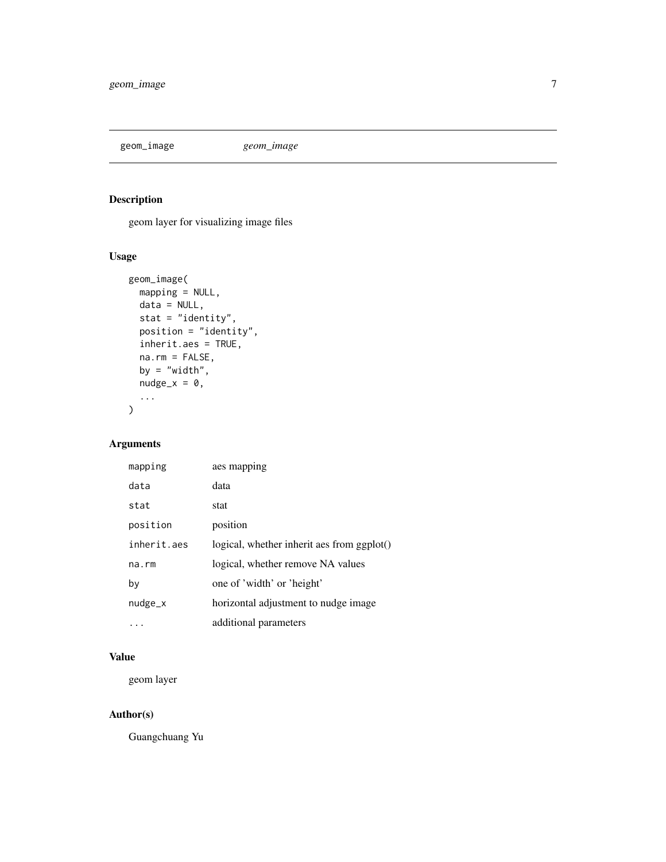<span id="page-6-0"></span>geom\_image *geom\_image*

# Description

geom layer for visualizing image files

#### Usage

```
geom_image(
 mapping = NULL,
 data = NULL,stat = "identity",
 position = "identity",
 inherit.aes = TRUE,
 na.rm = FALSE,
 by = "width",
 nudge_x = 0,
  ...
\mathcal{L}
```
# Arguments

| mapping     | aes mapping                                      |
|-------------|--------------------------------------------------|
| data        | data                                             |
| stat        | stat                                             |
| position    | position                                         |
| inherit.aes | $logical$ , whether inherit aes from ggplot $()$ |
| $na$ . $rm$ | logical, whether remove NA values                |
| by          | one of 'width' or 'height'                       |
| $nudge_x$   | horizontal adjustment to nudge image             |
|             | additional parameters                            |

#### Value

geom layer

#### Author(s)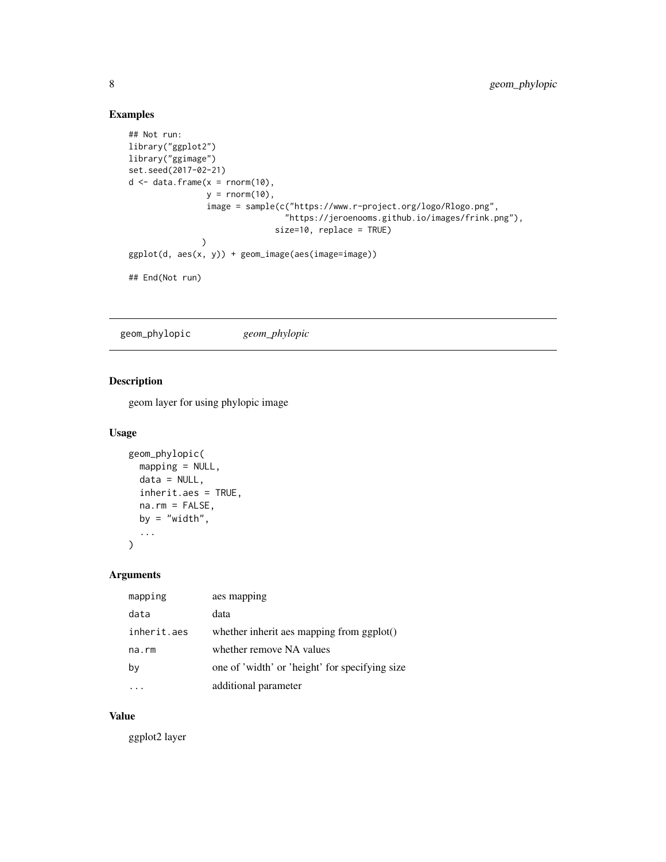#### Examples

```
## Not run:
library("ggplot2")
library("ggimage")
set.seed(2017-02-21)
d \leq - data.frame(x =rnorm(10),
                y = rnorm(10),
                image = sample(c("https://www.r-project.org/logo/Rlogo.png",
                                "https://jeroenooms.github.io/images/frink.png"),
                              size=10, replace = TRUE)
               )
ggplot(d, aes(x, y)) + geom_image(aes(image=image))
## End(Not run)
```
geom\_phylopic *geom\_phylopic*

#### Description

geom layer for using phylopic image

#### Usage

```
geom_phylopic(
 mapping = NULL,
 data = NULL,inherit.aes = TRUE,
 na.rm = FALSE,
 by = "width",...
)
```
#### Arguments

| mapping     | aes mapping                                    |
|-------------|------------------------------------------------|
| data        | data                                           |
| inherit.aes | whether inherit aes mapping from ggplot()      |
| na.rm       | whether remove NA values                       |
| by          | one of 'width' or 'height' for specifying size |
|             | additional parameter                           |

#### Value

ggplot2 layer

<span id="page-7-0"></span>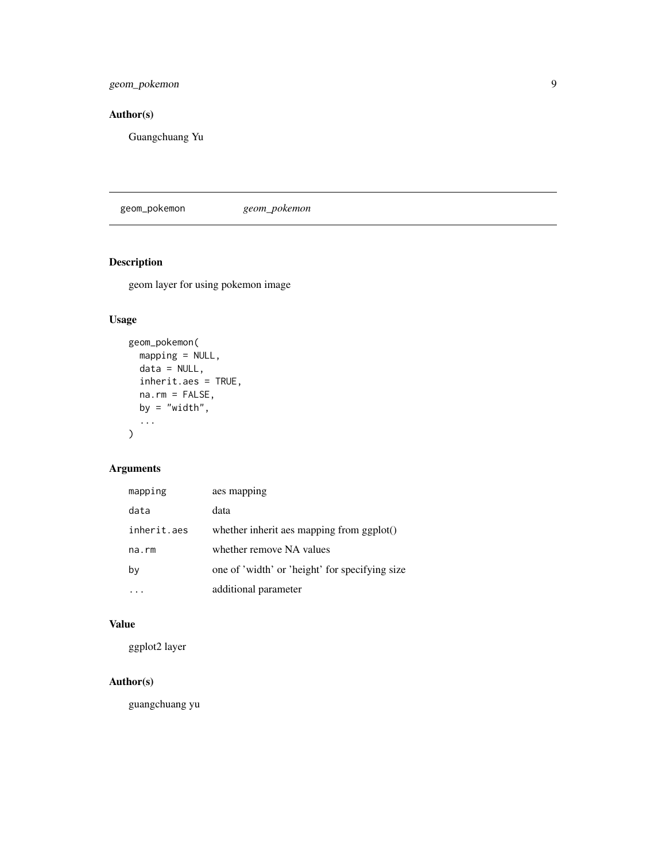<span id="page-8-0"></span>geom\_pokemon 9

# Author(s)

Guangchuang Yu

geom\_pokemon *geom\_pokemon*

#### Description

geom layer for using pokemon image

# Usage

```
geom_pokemon(
  mapping = NULL,
  data = NULL,
  inherit.aes = TRUE,
  na.rm = FALSE,
  by = "width",...
\mathcal{L}
```
# Arguments

| mapping     | aes mapping                                    |
|-------------|------------------------------------------------|
| data        | data                                           |
| inherit.aes | whether inherit aes mapping from ggplot()      |
| $na$ . $rm$ | whether remove NA values                       |
| by          | one of 'width' or 'height' for specifying size |
|             | additional parameter                           |

### Value

ggplot2 layer

# Author(s)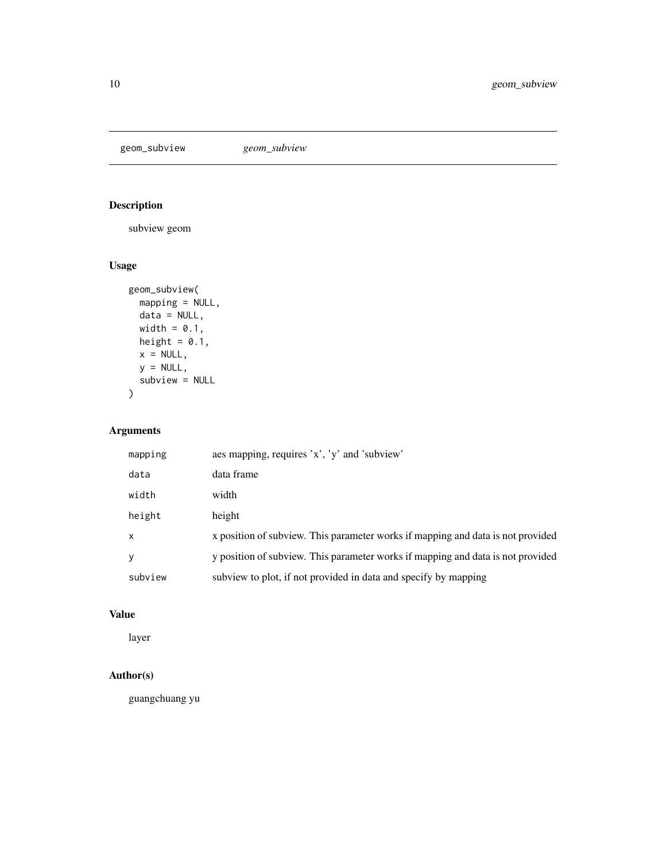<span id="page-9-0"></span>geom\_subview *geom\_subview*

# Description

subview geom

# Usage

```
geom_subview(
 mapping = NULL,
 data = NULL,
 width = 0.1,
 height = 0.1,
 x = NULL,y = NULL,subview = NULL
)
```
# Arguments

| mapping      | aes mapping, requires 'x', 'y' and 'subview'                                    |
|--------------|---------------------------------------------------------------------------------|
| data         | data frame                                                                      |
| width        | width                                                                           |
| height       | height                                                                          |
| $\mathsf{x}$ | x position of subview. This parameter works if mapping and data is not provided |
| V            | y position of subview. This parameter works if mapping and data is not provided |
| subview      | subview to plot, if not provided in data and specify by mapping                 |

# Value

layer

### Author(s)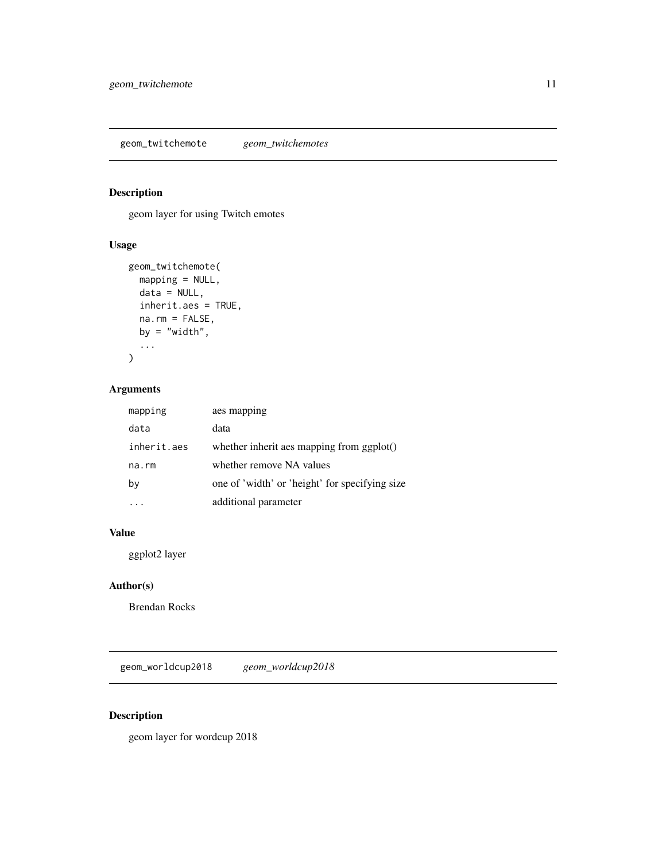<span id="page-10-0"></span>geom\_twitchemote *geom\_twitchemotes*

# Description

geom layer for using Twitch emotes

# Usage

```
geom_twitchemote(
 mapping = NULL,
 data = NULL,
 inherit.aes = TRUE,
 na.rm = FALSE,
 by = "width",...
)
```
# Arguments

| mapping     | aes mapping                                    |
|-------------|------------------------------------------------|
| data        | data                                           |
| inherit.aes | whether inherit aes mapping from ggplot()      |
| na.rm       | whether remove NA values                       |
| by          | one of 'width' or 'height' for specifying size |
|             | additional parameter                           |

# Value

ggplot2 layer

#### Author(s)

Brendan Rocks

geom\_worldcup2018 *geom\_worldcup2018*

#### Description

geom layer for wordcup 2018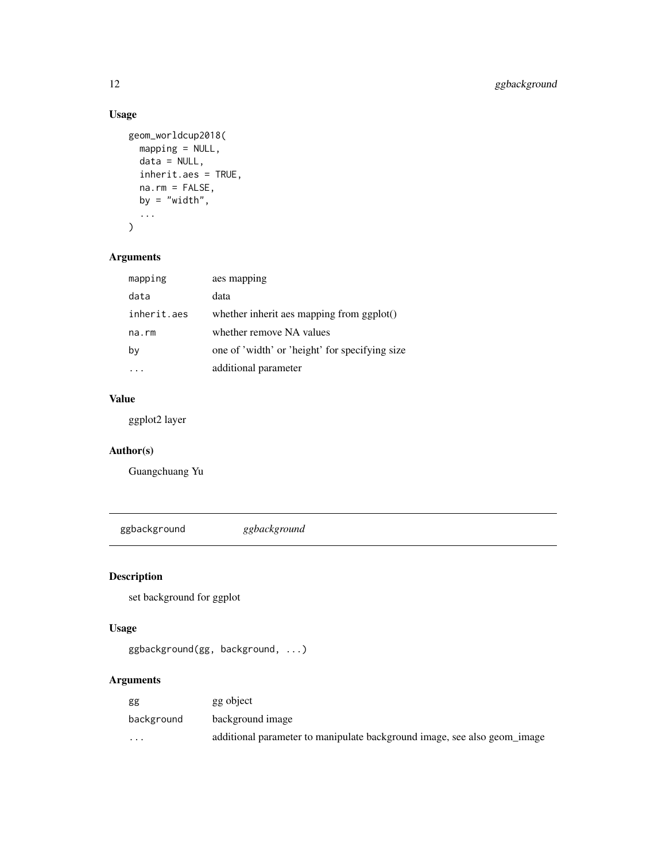# Usage

```
geom_worldcup2018(
 mapping = NULL,
 data = NULL,
 inherit.aes = TRUE,
 na.rm = FALSE,
 by = "width",...
)
```
# Arguments

| mapping     | aes mapping                                    |  |  |
|-------------|------------------------------------------------|--|--|
| data        | data                                           |  |  |
| inherit.aes | whether inherit aes mapping from ggplot()      |  |  |
| na.rm       | whether remove NA values                       |  |  |
| bγ          | one of 'width' or 'height' for specifying size |  |  |
|             | additional parameter                           |  |  |

# Value

ggplot2 layer

# Author(s)

Guangchuang Yu

ggbackground *ggbackground*

# Description

set background for ggplot

# Usage

ggbackground(gg, background, ...)

# Arguments

| gg         | gg object                                                                |
|------------|--------------------------------------------------------------------------|
| background | background image                                                         |
| $\cdots$   | additional parameter to manipulate background image, see also geom_image |

<span id="page-11-0"></span>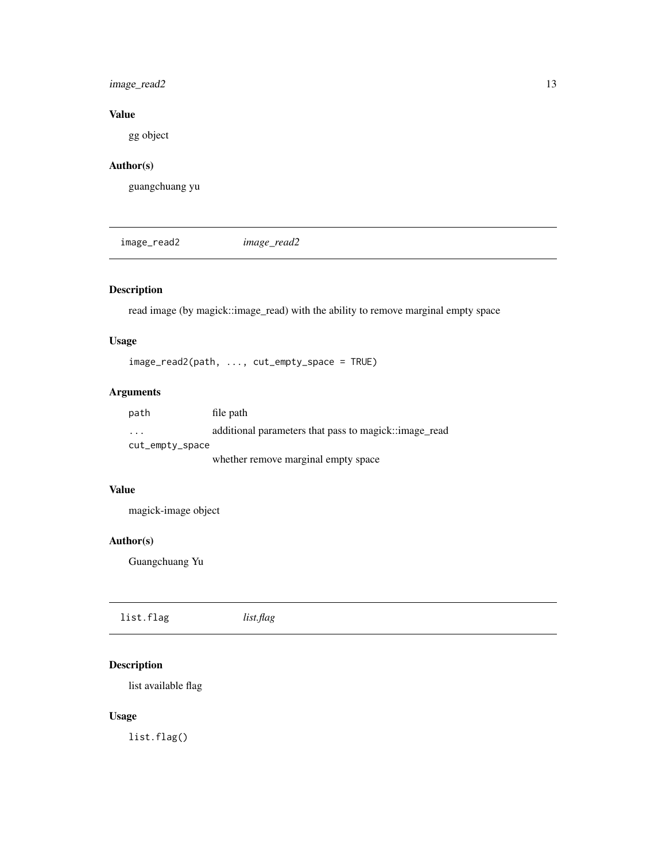# <span id="page-12-0"></span>image\_read2 13

# Value

gg object

# Author(s)

guangchuang yu

image\_read2 *image\_read2*

# Description

read image (by magick::image\_read) with the ability to remove marginal empty space

# Usage

image\_read2(path, ..., cut\_empty\_space = TRUE)

# Arguments

| path                    | file path                                             |
|-------------------------|-------------------------------------------------------|
| $\cdot$ $\cdot$ $\cdot$ | additional parameters that pass to magick::image_read |
| cut_empty_space         |                                                       |
|                         | whether remove marginal empty space                   |

#### Value

magick-image object

### Author(s)

Guangchuang Yu

| list.flag | list.flag |
|-----------|-----------|
|           |           |

# Description

list available flag

#### Usage

list.flag()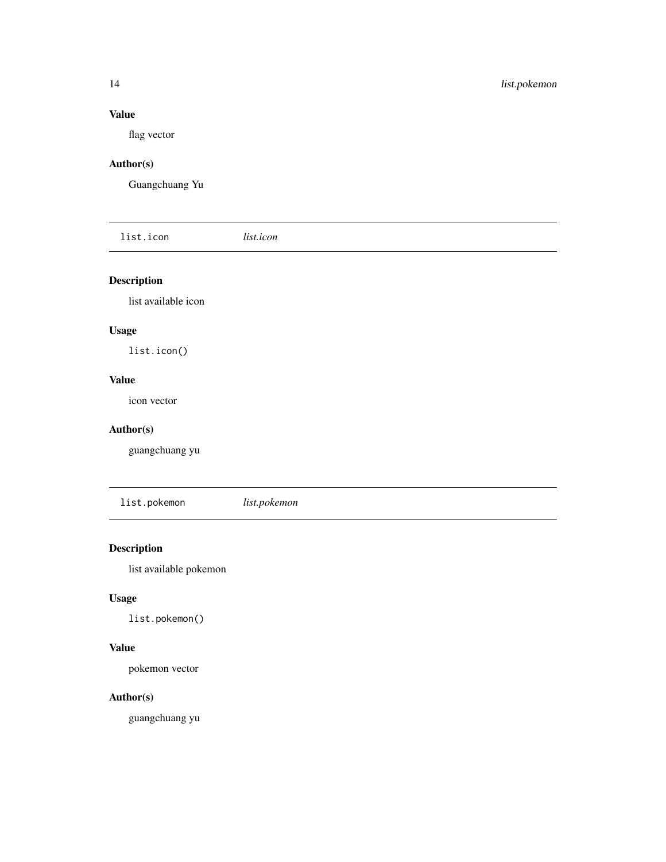#### <span id="page-13-0"></span>Value

flag vector

# Author(s)

Guangchuang Yu

| list.icon          | <i>list.icon</i> |  |  |
|--------------------|------------------|--|--|
| <b>Description</b> |                  |  |  |

list available icon

# Usage

list.icon()

# Value

icon vector

#### Author(s)

guangchuang yu

list.pokemon *list.pokemon*

# Description

list available pokemon

#### Usage

list.pokemon()

### Value

pokemon vector

#### Author(s)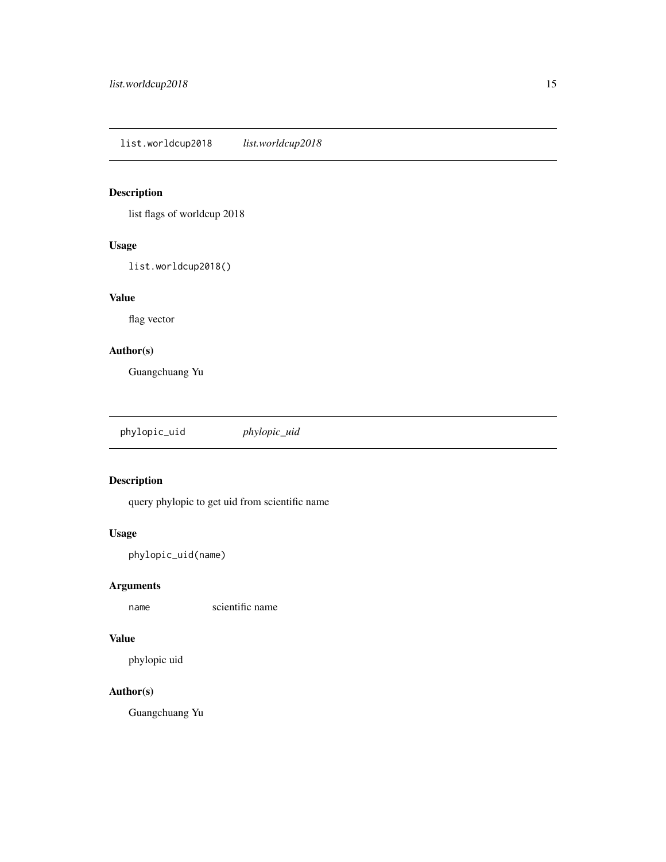<span id="page-14-0"></span>list.worldcup2018 *list.worldcup2018*

# Description

list flags of worldcup 2018

# Usage

list.worldcup2018()

#### Value

flag vector

### Author(s)

Guangchuang Yu

phylopic\_uid *phylopic\_uid*

# Description

query phylopic to get uid from scientific name

# Usage

phylopic\_uid(name)

#### Arguments

name scientific name

#### Value

phylopic uid

### Author(s)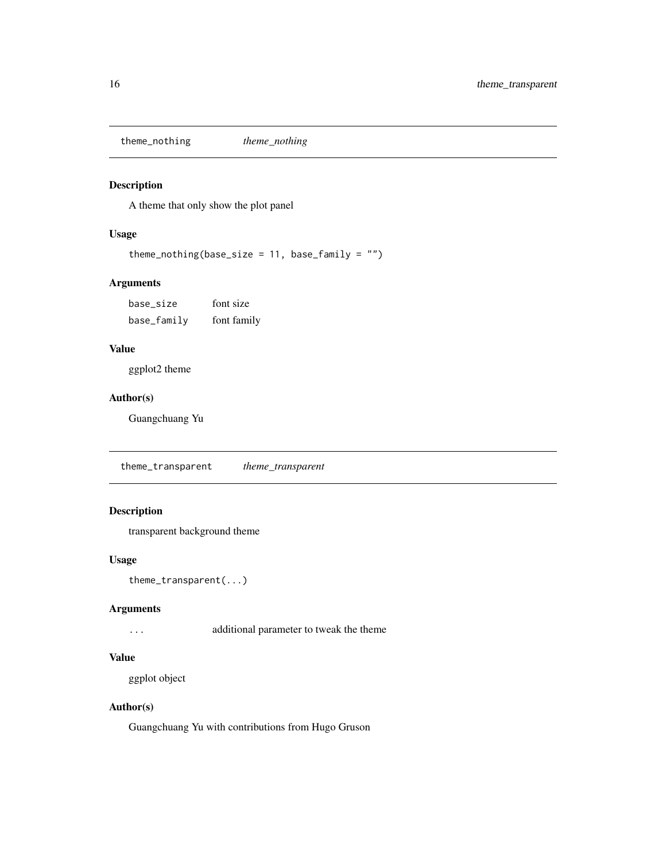<span id="page-15-0"></span>theme\_nothing *theme\_nothing*

#### Description

A theme that only show the plot panel

#### Usage

theme\_nothing(base\_size =  $11$ , base\_family = "")

#### Arguments

base\_size font size base\_family font family

# Value

ggplot2 theme

#### Author(s)

Guangchuang Yu

theme\_transparent *theme\_transparent*

#### Description

transparent background theme

#### Usage

```
theme_transparent(...)
```
#### Arguments

... additional parameter to tweak the theme

#### Value

ggplot object

#### Author(s)

Guangchuang Yu with contributions from Hugo Gruson